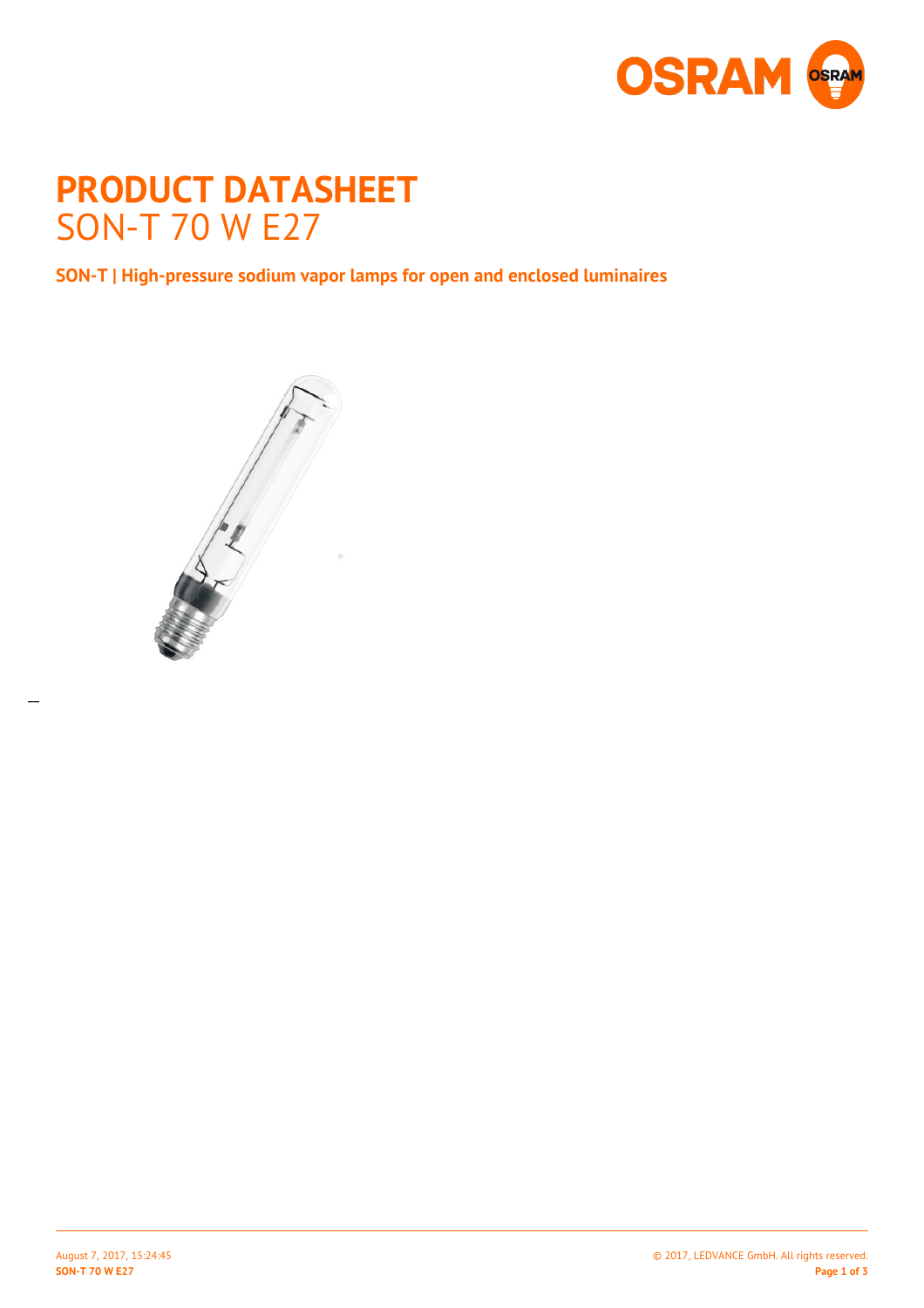

# **PRODUCT DATASHEET** SON-T 70 W E27

**SON-T | High-pressure sodium vapor lamps for open and enclosed luminaires**



 $\overline{a}$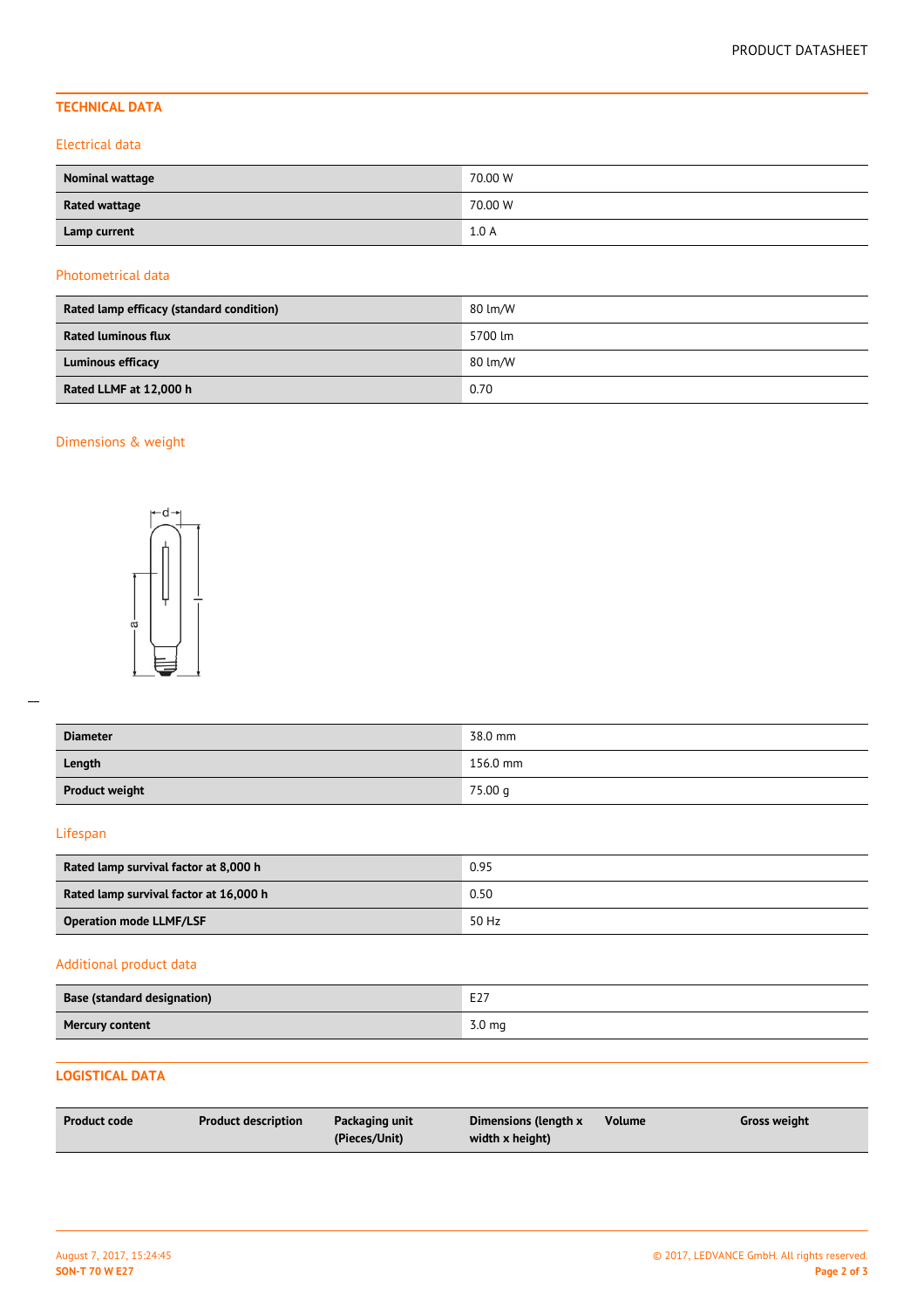## **TECHNICAL DATA**

#### Electrical data

| Nominal wattage      | 70.00 W |
|----------------------|---------|
| <b>Rated wattage</b> | 70.00 W |
| Lamp current         | 1.0A    |

#### Photometrical data

| Rated lamp efficacy (standard condition) | 80 lm/W |
|------------------------------------------|---------|
| <b>Rated luminous flux</b>               | 5700 lm |
| <b>Luminous efficacy</b>                 | 80 lm/W |
| Rated LLMF at 12,000 h                   | 0.70    |

## Dimensions & weight



| <b>Diameter</b>       | 38.0 mm  |
|-----------------------|----------|
| Length                | 156.0 mm |
| <b>Product weight</b> | 75.00 g  |

### Lifespan

| Rated lamp survival factor at 8,000 h  | 0.95  |
|----------------------------------------|-------|
| Rated lamp survival factor at 16,000 h | 0.50  |
| <b>Operation mode LLMF/LSF</b>         | 50 Hz |

## Additional product data

| Base (standard designation) | エつフ<br>EZ.        |
|-----------------------------|-------------------|
| <b>Mercury content</b>      | 3.0 <sub>mg</sub> |

## **LOGISTICAL DATA**

| <b>Product code</b> | <b>Product description</b> | Packaging unit | Dimensions (length x | <b>Volume</b> | Gross weight |
|---------------------|----------------------------|----------------|----------------------|---------------|--------------|
|                     |                            | (Pieces/Unit)  | width x height)      |               |              |